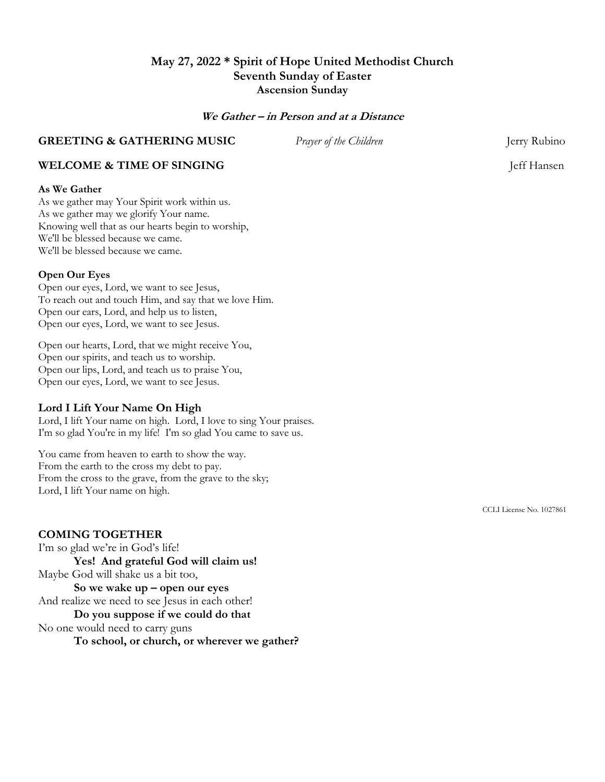# **May 27, 2022 \* Spirit of Hope United Methodist Church Seventh Sunday of Easter Ascension Sunday**

#### **We Gather – in Person and at a Distance**

## **GREETING & GATHERING MUSIC** *Prayer of the Children Jerry Rubino*

**WELCOME & TIME OF SINGING Jeff Hansen** 

#### **As We Gather**

As we gather may Your Spirit work within us. As we gather may we glorify Your name. Knowing well that as our hearts begin to worship, We'll be blessed because we came. We'll be blessed because we came.

## **Open Our Eyes**

Open our eyes, Lord, we want to see Jesus, To reach out and touch Him, and say that we love Him. Open our ears, Lord, and help us to listen, Open our eyes, Lord, we want to see Jesus.

Open our hearts, Lord, that we might receive You, Open our spirits, and teach us to worship. Open our lips, Lord, and teach us to praise You, Open our eyes, Lord, we want to see Jesus.

## **Lord I Lift Your Name On High**

Lord, I lift Your name on high. Lord, I love to sing Your praises. I'm so glad You're in my life! I'm so glad You came to save us.

You came from heaven to earth to show the way. From the earth to the cross my debt to pay. From the cross to the grave, from the grave to the sky; Lord, I lift Your name on high.

## **COMING TOGETHER**

I'm so glad we're in God's life! **Yes! And grateful God will claim us!** Maybe God will shake us a bit too, **So we wake up – open our eyes** And realize we need to see Jesus in each other! **Do you suppose if we could do that** No one would need to carry guns **To school, or church, or wherever we gather?**

CCLI License No. 1027861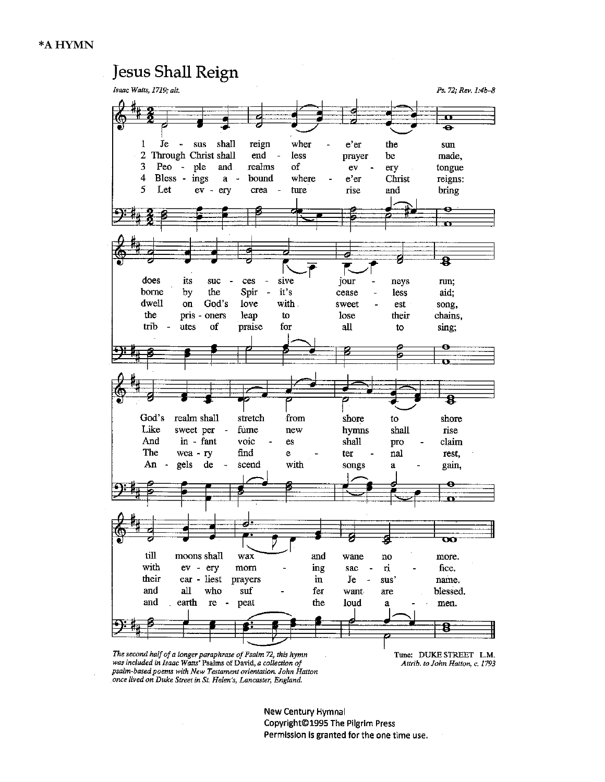## **\*A HYMN**



New Century Hymnal Copyright©1995 The Pilgrim Press Permission is granted for the one time use.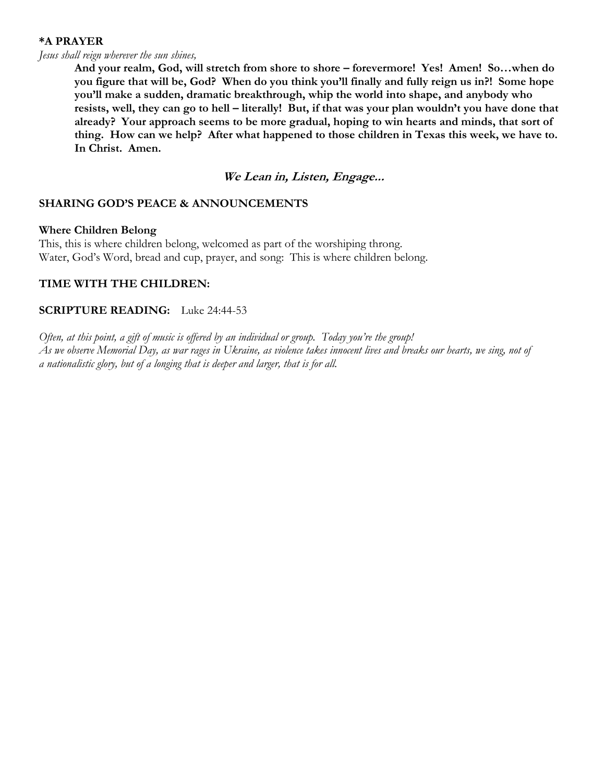## **\*A PRAYER**

*Jesus shall reign wherever the sun shines,*

And your realm, God, will stretch from shore to shore – forevermore! Yes! Amen! So...when do **you figure that will be, God? When do you think you'll finally and fully reign us in?! Some hope you'll make a sudden, dramatic breakthrough, whip the world into shape, and anybody who resists, well, they can go to hell – literally! But, if that was your plan wouldn't you have done that already? Your approach seems to be more gradual, hoping to win hearts and minds, that sort of thing. How can we help? After what happened to those children in Texas this week, we have to. In Christ. Amen.**

# **We Lean in, Listen, Engage...**

## **SHARING GOD'S PEACE & ANNOUNCEMENTS**

## **Where Children Belong**

This, this is where children belong, welcomed as part of the worshiping throng. Water, God's Word, bread and cup, prayer, and song: This is where children belong.

## **TIME WITH THE CHILDREN:**

## **SCRIPTURE READING:** Luke 24:44-53

*Often, at this point, a gift of music is offered by an individual or group. Today you're the group! As we observe Memorial Day, as war rages in Ukraine, as violence takes innocent lives and breaks our hearts, we sing, not of a nationalistic glory, but of a longing that is deeper and larger, that is for all.*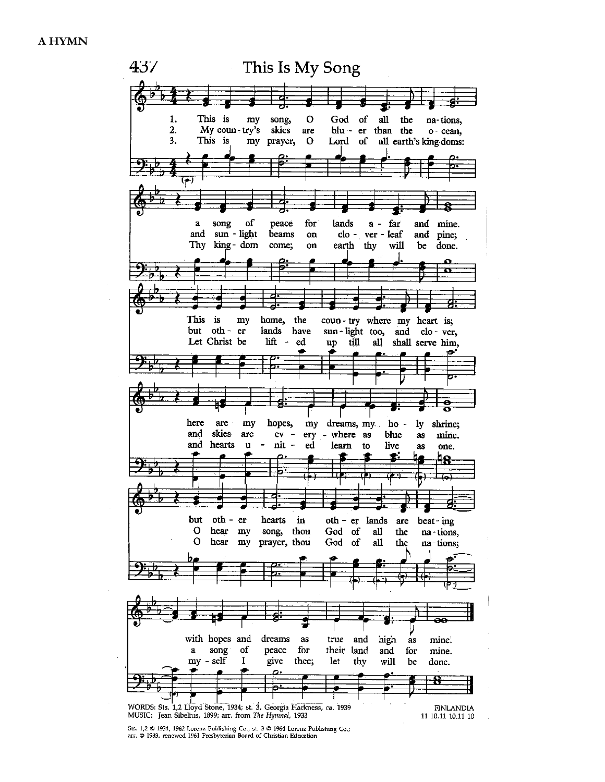#### **A HYMN**



Sts. 1,2 @ 1934, 1962 Lorenz Publishing Co.; st. 3 @ 1964 Lorenz Publishing Co.; arr. @ 1933, renewed 1961 Presbyterian Board of Christian Education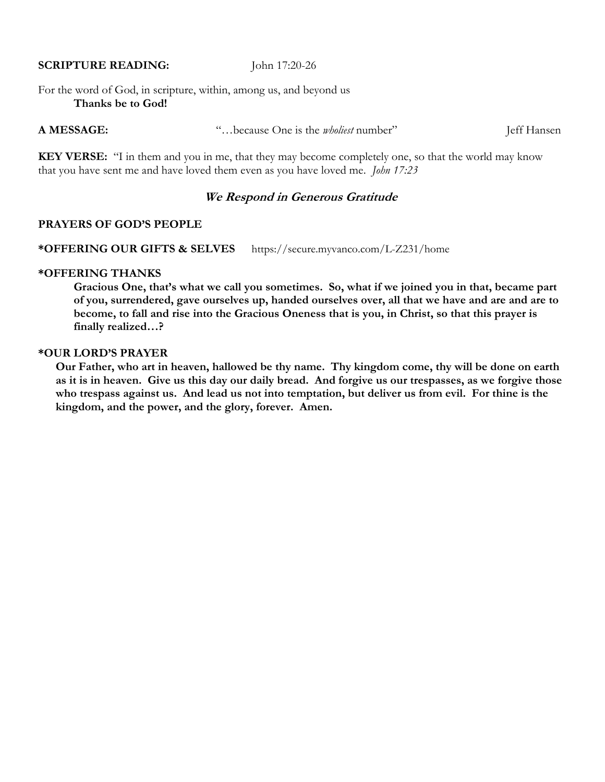## **SCRIPTURE READING:** John 17:20-26

For the word of God, in scripture, within, among us, and beyond us **Thanks be to God!**

**A MESSAGE:** "…because One is the *wholiest* number" Jeff Hansen

**KEY VERSE:** "I in them and you in me, that they may become completely one, so that the world may know that you have sent me and have loved them even as you have loved me. *John 17:23*

## **We Respond in Generous Gratitude**

#### **PRAYERS OF GOD'S PEOPLE**

**\*OFFERING OUR GIFTS & SELVES** https://secure.myvanco.com/L-Z231/home

## **\*OFFERING THANKS**

**Gracious One, that's what we call you sometimes. So, what if we joined you in that, became part of you, surrendered, gave ourselves up, handed ourselves over, all that we have and are and are to become, to fall and rise into the Gracious Oneness that is you, in Christ, so that this prayer is finally realized…?**

## **\*OUR LORD'S PRAYER**

**Our Father, who art in heaven, hallowed be thy name. Thy kingdom come, thy will be done on earth as it is in heaven. Give us this day our daily bread. And forgive us our trespasses, as we forgive those who trespass against us. And lead us not into temptation, but deliver us from evil. For thine is the kingdom, and the power, and the glory, forever. Amen.**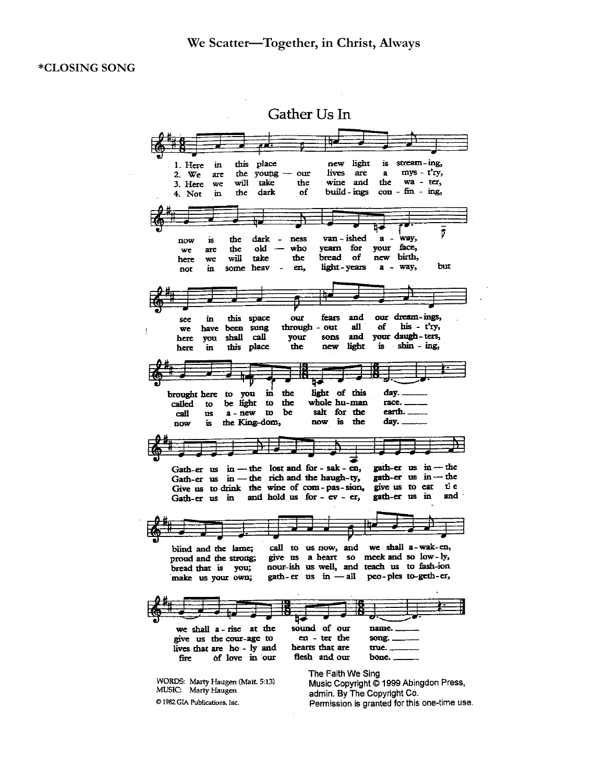$\bar{.}$ 

Gather Us In

 $\bar{\beta}$ 

 $\mathbb{Z}$ 

 $\sim 10^7$ 

| $stream - ing$ ,<br>light<br>is<br>this place<br>new<br>1. Here<br>in                                                               |
|-------------------------------------------------------------------------------------------------------------------------------------|
| mys - t'ry,<br>lives<br>are<br>a<br>the young<br>our<br>2. We<br>are                                                                |
| wa - ter,<br>take<br>wine<br>and<br>the<br>will<br>the<br>3. Here<br>we                                                             |
| $con - fm - img$ ,<br>build - ings<br>dark<br>- of<br>the<br>iп                                                                     |
| 4. Not                                                                                                                              |
|                                                                                                                                     |
|                                                                                                                                     |
| Ū                                                                                                                                   |
| van - ished<br>way,<br>dark<br>a -<br>ness<br>the<br>is.<br>now                                                                     |
| face,<br>who<br>for<br>old<br>vearn<br><b>VOUT</b><br>the<br>we<br>are                                                              |
| of<br>new birth,<br>bread<br>take<br>the.<br>will<br>we<br>here                                                                     |
| but<br>light - years<br>$a - way$<br>some heav<br>en,<br>in<br>not                                                                  |
|                                                                                                                                     |
|                                                                                                                                     |
|                                                                                                                                     |
|                                                                                                                                     |
| our dream-ings,<br>and<br>our<br>fears<br>this<br>space<br>in.<br>see                                                               |
| $his - r'ry,$<br>all `<br>of<br>through - out<br>been sung<br>have<br>we                                                            |
| your daugh - ters,<br>and<br>call<br><b>VOUT</b><br><b>SOLIS</b><br>shall<br>you<br>here                                            |
| is shin - ing,<br>light<br>the<br>this place<br>new<br>in<br>here                                                                   |
|                                                                                                                                     |
|                                                                                                                                     |
|                                                                                                                                     |
|                                                                                                                                     |
| light of this<br>day. .<br>the<br>in<br>brought here<br>to you                                                                      |
| the<br>whole hu-man<br>гасе.<br>be light<br>to<br>called<br>TO.                                                                     |
| for the<br>earth. _____<br>Ъe<br>sait<br>$a - new$<br>to<br>call<br>11\$                                                            |
| is<br>the<br>day. _<br>the King-dom,<br><b>now</b><br>is.<br>now                                                                    |
|                                                                                                                                     |
|                                                                                                                                     |
|                                                                                                                                     |
| gath-er us in - the<br>$in$ --the lost and for - sak - en,                                                                          |
| Gath-er us<br>$\mathbf{in} - \mathbf{the}$<br>in - the rich and the haugh-ty,<br>gath-er us                                         |
| Gath-er us<br>Give us to drink the wine of com-pas-sion,<br>give us to eat<br>Е е                                                   |
| and ·<br>gath-er us in<br>and hold us for $-ev - cr$ ,<br>in                                                                        |
| Gath-er us                                                                                                                          |
|                                                                                                                                     |
|                                                                                                                                     |
|                                                                                                                                     |
|                                                                                                                                     |
| we shall $a - wak - en$ ,<br>call to us now, and<br>blind and the lame;<br>so meek and so low-ly,                                   |
| a heart<br>give us<br>proud and the strong;<br>nour-ish us well, and teach us to fash-ion                                           |
| bread that is you;<br>gath-er us in - all peo-ples to-geth-er,                                                                      |
| make us your own;                                                                                                                   |
|                                                                                                                                     |
|                                                                                                                                     |
|                                                                                                                                     |
|                                                                                                                                     |
| sound of our<br>at the<br>name. _<br>we shall a - rise                                                                              |
| en - ter the<br>give us the cour-age to<br>song. ______                                                                             |
| lives that are ho - ly and<br>hearts that are<br>true. _______                                                                      |
| flesh and our<br>of love in our<br>bone. $\_\_$<br>fire                                                                             |
|                                                                                                                                     |
|                                                                                                                                     |
| The Faith We Sing                                                                                                                   |
| WORDS: Marty Haugen (Matt. 5:13)<br>Music Copyright © 1999 Abingdon Press,<br>MUSIC:<br>Marty Haugen<br>admin. By The Copyright Co. |

@ 1982 GIA Publications, Inc.

Permission is granted for this one-time use.

 $\mathcal{L}^{\mathcal{A}}$  $\mathbf{r}$ 

 $\sim$